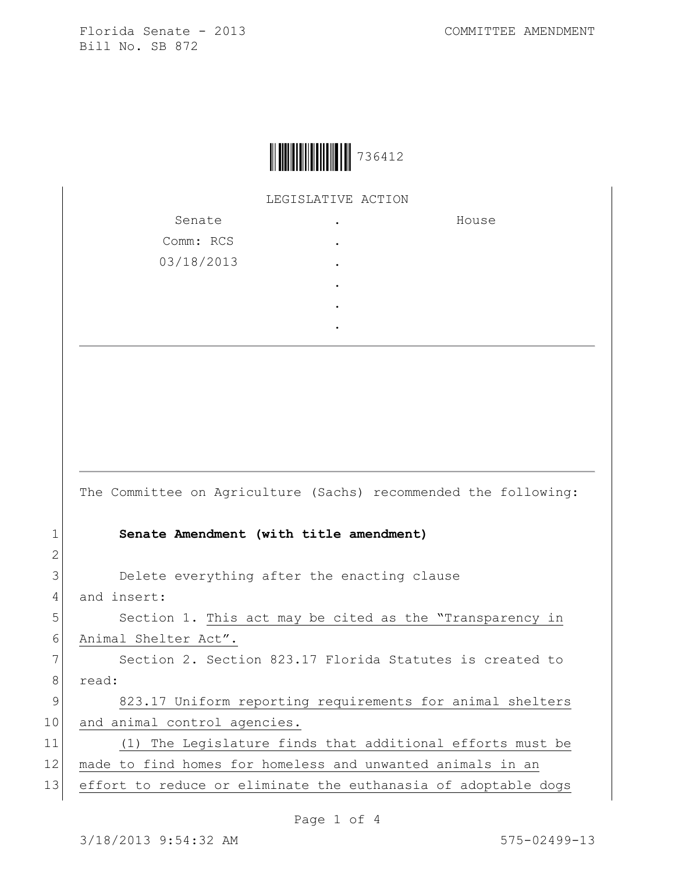Florida Senate - 2013 and the COMMITTEE AMENDMENT Bill No. SB 872

|  | 736412 |
|--|--------|
|--|--------|

LEGISLATIVE ACTION

| Senate     | ٠         | House |
|------------|-----------|-------|
| Comm: RCS  | ٠         |       |
| 03/18/2013 | ٠         |       |
|            | ٠         |       |
|            | $\bullet$ |       |
|            |           |       |

The Committee on Agriculture (Sachs) recommended the following:

## 1 **Senate Amendment (with title amendment)**

3 Delete everything after the enacting clause

4 and insert:

2

5 Section 1. This act may be cited as the "Transparency in 6 Animal Shelter Act".

7 Section 2. Section 823.17 Florida Statutes is created to 8 read:

9 823.17 Uniform reporting requirements for animal shelters 10 and animal control agencies.

11 (1) The Legislature finds that additional efforts must be 12 made to find homes for homeless and unwanted animals in an 13 effort to reduce or eliminate the euthanasia of adoptable dogs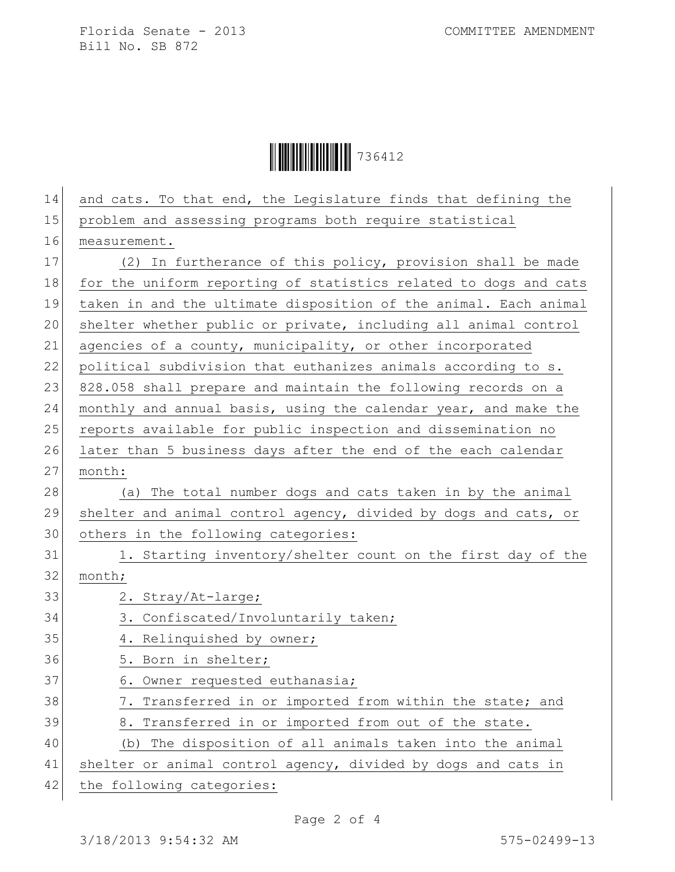Florida Senate - 2013 COMMITTEE AMENDMENT Bill No. SB 872



| 14 | and cats. To that end, the Legislature finds that defining the   |
|----|------------------------------------------------------------------|
| 15 | problem and assessing programs both require statistical          |
| 16 | measurement.                                                     |
| 17 | (2) In furtherance of this policy, provision shall be made       |
| 18 | for the uniform reporting of statistics related to dogs and cats |
| 19 | taken in and the ultimate disposition of the animal. Each animal |
| 20 | shelter whether public or private, including all animal control  |
| 21 | agencies of a county, municipality, or other incorporated        |
| 22 | political subdivision that euthanizes animals according to s.    |
| 23 | 828.058 shall prepare and maintain the following records on a    |
| 24 | monthly and annual basis, using the calendar year, and make the  |
| 25 | reports available for public inspection and dissemination no     |
| 26 | later than 5 business days after the end of the each calendar    |
| 27 | month:                                                           |
| 28 | (a) The total number dogs and cats taken in by the animal        |
| 29 | shelter and animal control agency, divided by dogs and cats, or  |
| 30 | others in the following categories:                              |
| 31 | 1. Starting inventory/shelter count on the first day of the      |
| 32 | month;                                                           |
| 33 | 2. Stray/At-large;                                               |
| 34 | 3. Confiscated/Involuntarily taken;                              |
| 35 | 4. Relinquished by owner;                                        |
| 36 | 5. Born in shelter;                                              |
| 37 | 6. Owner requested euthanasia;                                   |
| 38 | 7. Transferred in or imported from within the state; and         |
| 39 | 8. Transferred in or imported from out of the state.             |
| 40 | The disposition of all animals taken into the animal<br>(b)      |
| 41 | shelter or animal control agency, divided by dogs and cats in    |
| 42 | the following categories:                                        |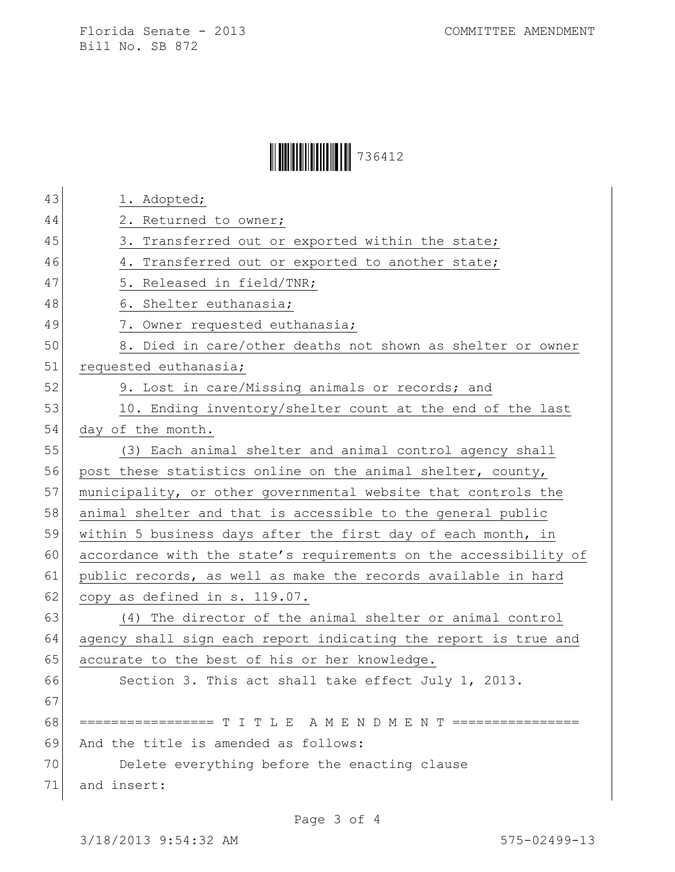Florida Senate - 2013 COMMITTEE AMENDMENT Bill No. SB 872

|  | 736412 |
|--|--------|
|--|--------|

| 43 | 1. Adopted;                                                      |
|----|------------------------------------------------------------------|
| 44 | 2. Returned to owner;                                            |
| 45 | 3. Transferred out or exported within the state;                 |
| 46 | 4. Transferred out or exported to another state;                 |
| 47 | 5. Released in field/TNR;                                        |
| 48 | 6. Shelter euthanasia;                                           |
| 49 | 7. Owner requested euthanasia;                                   |
| 50 | 8. Died in care/other deaths not shown as shelter or owner       |
| 51 | requested euthanasia;                                            |
| 52 | 9. Lost in care/Missing animals or records; and                  |
| 53 | 10. Ending inventory/shelter count at the end of the last        |
| 54 | day of the month.                                                |
| 55 | (3) Each animal shelter and animal control agency shall          |
| 56 | post these statistics online on the animal shelter, county,      |
| 57 | municipality, or other governmental website that controls the    |
| 58 | animal shelter and that is accessible to the general public      |
| 59 | within 5 business days after the first day of each month, in     |
| 60 | accordance with the state's requirements on the accessibility of |
| 61 | public records, as well as make the records available in hard    |
| 62 | copy as defined in s. 119.07.                                    |
| 63 | (4) The director of the animal shelter or animal control         |
| 64 | agency shall sign each report indicating the report is true and  |
| 65 | accurate to the best of his or her knowledge.                    |
| 66 | Section 3. This act shall take effect July 1, 2013.              |
| 67 |                                                                  |
| 68 | ================== T I T L E A M E N D M E N T ================  |
| 69 | And the title is amended as follows:                             |
| 70 | Delete everything before the enacting clause                     |
| 71 | and insert:                                                      |
|    |                                                                  |